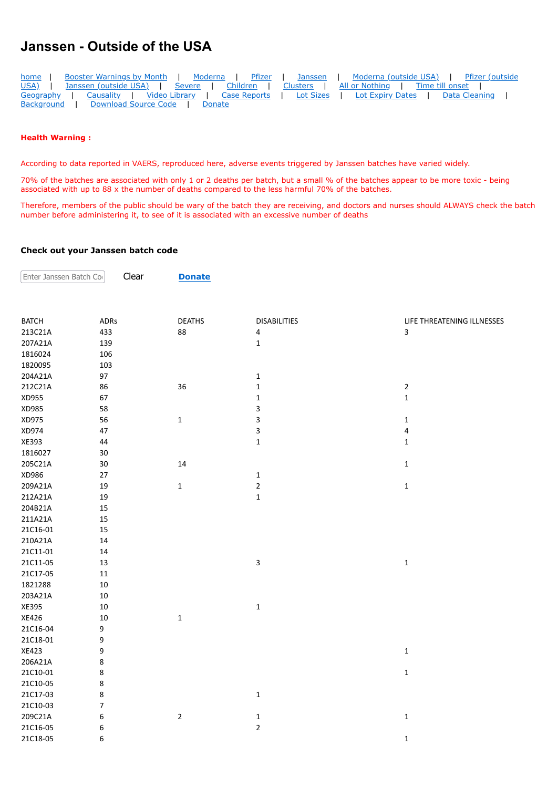## **Janssen - Outside of the USA**

| home              | Booster Warnings by Month<br>Moderna   Pfizer                                           | Janssen | Moderna (outside USA)   Pfizer (outside      |
|-------------------|-----------------------------------------------------------------------------------------|---------|----------------------------------------------|
| USA)              | Janssen (outside USA)   Severe   Children   Clusters   All or Nothing   Time till onset |         |                                              |
|                   | Geography   Causality   Video Library   Case Reports                                    |         | Lot Sizes   Lot Expiry Dates   Data Cleaning |
| <b>Background</b> | Download Source Code   Donate                                                           |         |                                              |

## **Health Warning :**

 $|$  Enter Janssen Batch Co

According to data reported in VAERS, reproduced here, adverse events triggered by Janssen batches have varied widely.

70% of the batches are associated with only 1 or 2 deaths per batch, but a small % of the batches appear to be more toxic - being associated with up to 88 x the number of deaths compared to the less harmful 70% of the batches.

Therefore, members of the public should be wary of the batch they are receiving, and doctors and nurses should ALWAYS check the batch number before administering it, to see of it is associated with an excessive number of deaths

## **Check out your Janssen batch code**

Clear **[Donate](https://howbad.info/donatecreditcard.html)**

| <b>BATCH</b> | ADRs                     | <b>DEATHS</b> | <b>DISABILITIES</b> | LIFE THREATENING ILLNESSES |
|--------------|--------------------------|---------------|---------------------|----------------------------|
| 213C21A      | 433                      | 88            | 4                   | 3                          |
| 207A21A      | 139                      |               | $\mathbf 1$         |                            |
| 1816024      | 106                      |               |                     |                            |
| 1820095      | 103                      |               |                     |                            |
| 204A21A      | 97                       |               | $\mathbf 1$         |                            |
| 212C21A      | 86                       | 36            | $\mathbf 1$         | $\overline{2}$             |
| XD955        | 67                       |               | $\mathbf 1$         | $\mathbf 1$                |
| XD985        | 58                       |               | 3                   |                            |
| XD975        | 56                       | $\mathbf{1}$  | 3                   | $\mathbf{1}$               |
| XD974        | 47                       |               | 3                   | $\overline{\mathbf{4}}$    |
| XE393        | 44                       |               | $\mathbf 1$         | $\mathbf{1}$               |
| 1816027      | 30                       |               |                     |                            |
| 205C21A      | 30                       | 14            |                     | $\mathbf 1$                |
| XD986        | 27                       |               | $\mathbf 1$         |                            |
| 209A21A      | 19                       | $\mathbf 1$   | $\mathbf 2$         | $\mathbf 1$                |
| 212A21A      | 19                       |               | $\mathbf 1$         |                            |
| 204B21A      | 15                       |               |                     |                            |
| 211A21A      | 15                       |               |                     |                            |
| 21C16-01     | 15                       |               |                     |                            |
| 210A21A      | 14                       |               |                     |                            |
| 21C11-01     | 14                       |               |                     |                            |
| 21C11-05     | 13                       |               | $\mathsf 3$         | $\mathbf 1$                |
| 21C17-05     | $11\,$                   |               |                     |                            |
| 1821288      | 10                       |               |                     |                            |
| 203A21A      | $10\,$                   |               |                     |                            |
| XE395        | 10                       |               | $\mathbf 1$         |                            |
| XE426        | 10                       | $\mathbf{1}$  |                     |                            |
| 21C16-04     | 9                        |               |                     |                            |
| 21C18-01     | 9                        |               |                     |                            |
| XE423        | 9                        |               |                     | $\mathbf 1$                |
| 206A21A      | 8                        |               |                     |                            |
| 21C10-01     | 8                        |               |                     | $\mathbf 1$                |
| 21C10-05     | 8                        |               |                     |                            |
| 21C17-03     | 8                        |               | $\mathbf 1$         |                            |
| 21C10-03     | $\overline{\mathcal{I}}$ |               |                     |                            |
| 209C21A      | 6                        | $\sqrt{2}$    | $\mathbf 1$         | $\mathbf 1$                |
| 21C16-05     | 6                        |               | $\mathbf 2$         |                            |
| 21C18-05     | 6                        |               |                     | $\mathbf{1}$               |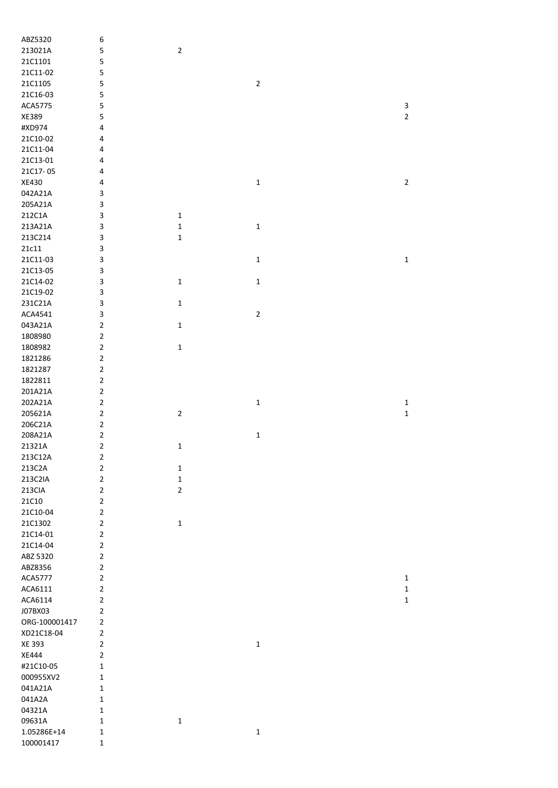| ABZ5320        | 6              |                |             |                |
|----------------|----------------|----------------|-------------|----------------|
| 213021A        | 5              | $\mathbf 2$    |             |                |
| 21C1101        | 5              |                |             |                |
| 21C11-02       | 5              |                |             |                |
| 21C1105        | 5              |                | $\mathbf 2$ |                |
| 21C16-03       | 5              |                |             |                |
| ACA5775        | 5              |                |             | 3              |
| XE389          | 5              |                |             | $\overline{2}$ |
| #XD974         | 4              |                |             |                |
| 21C10-02       | 4              |                |             |                |
| 21C11-04       | 4              |                |             |                |
| 21C13-01       | 4              |                |             |                |
| 21C17-05       | 4              |                |             |                |
| XE430          | 4              |                | $\mathbf 1$ | $\overline{2}$ |
| 042A21A        | 3              |                |             |                |
| 205A21A        | 3              |                |             |                |
| 212C1A         | 3              | $\mathbf{1}$   |             |                |
| 213A21A        | 3              | $\mathbf 1$    | $\mathbf 1$ |                |
| 213C214        | 3              | $\mathbf 1$    |             |                |
| $21c11$        | 3              |                |             |                |
| 21C11-03       | 3              |                | $\mathbf 1$ | $\mathbf 1$    |
| 21C13-05       | 3              |                |             |                |
| 21C14-02       | 3              | $\mathbf 1$    | $\mathbf 1$ |                |
| 21C19-02       | 3              |                |             |                |
| 231C21A        | 3              | $\mathbf 1$    |             |                |
| ACA4541        | 3              |                | $\mathbf 2$ |                |
| 043A21A        | $\overline{2}$ | $\mathbf 1$    |             |                |
| 1808980        | $\overline{2}$ |                |             |                |
| 1808982        | $\mathbf 2$    | $\mathbf 1$    |             |                |
| 1821286        | $\overline{2}$ |                |             |                |
| 1821287        | $\overline{2}$ |                |             |                |
| 1822811        | $\overline{2}$ |                |             |                |
|                |                |                |             |                |
|                |                |                |             |                |
| 201A21A        | $\overline{2}$ |                |             |                |
| 202A21A        | $\overline{2}$ |                | $\mathbf 1$ | $\mathbf 1$    |
| 205621A        | $\mathbf 2$    | $\mathbf 2$    |             | $\mathbf 1$    |
| 206C21A        | $\overline{2}$ |                |             |                |
| 208A21A        | $\mathbf 2$    |                | $\mathbf 1$ |                |
| 21321A         | $\overline{2}$ | $\mathbf 1$    |             |                |
| 213C12A        | 2              |                |             |                |
| 213C2A         | $\overline{2}$ | $\mathbf{1}$   |             |                |
| 213C2IA        | $\overline{2}$ | $\mathbf 1$    |             |                |
| 213CIA         | $\overline{2}$ | $\overline{2}$ |             |                |
| 21C10          | $\overline{2}$ |                |             |                |
| 21C10-04       | $\overline{2}$ |                |             |                |
| 21C1302        | $\overline{2}$ | $\mathbf{1}$   |             |                |
| 21C14-01       | $\overline{2}$ |                |             |                |
| 21C14-04       | $\overline{2}$ |                |             |                |
| ABZ 5320       | $\overline{2}$ |                |             |                |
| ABZ8356        | $\overline{2}$ |                |             |                |
| <b>ACA5777</b> | $\overline{2}$ |                |             | $\mathbf{1}$   |
| ACA6111        | $\overline{2}$ |                |             | $\mathbf 1$    |
| ACA6114        | $\overline{2}$ |                |             | $\mathbf 1$    |
| J07BX03        | $\overline{2}$ |                |             |                |
| ORG-100001417  | $\overline{2}$ |                |             |                |
| XD21C18-04     | $\overline{2}$ |                |             |                |
| XE 393         | $\overline{2}$ |                | $\mathbf 1$ |                |
| XE444          | $\overline{2}$ |                |             |                |
| #21C10-05      | $\mathbf 1$    |                |             |                |
| 000955XV2      | $\mathbf{1}$   |                |             |                |
| 041A21A        | $\mathbf{1}$   |                |             |                |
| 041A2A         | $\mathbf{1}$   |                |             |                |
| 04321A         | $\mathbf 1$    |                |             |                |
| 09631A         | $\mathbf{1}$   | $\mathbf 1$    |             |                |
| 1.05286E+14    | $\mathbf 1$    |                | $\mathbf 1$ |                |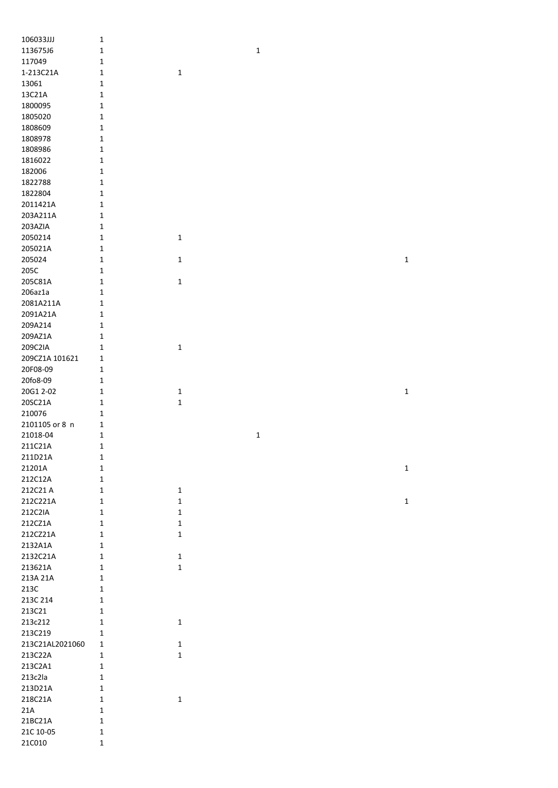| 106033JJJ       | $\mathbf{1}$ |              |              |  |              |
|-----------------|--------------|--------------|--------------|--|--------------|
| 113675J6        | $\mathbf 1$  |              | $\mathbf 1$  |  |              |
| 117049          | $\mathbf 1$  |              |              |  |              |
| 1-213C21A       | $\mathbf 1$  | $\mathbf 1$  |              |  |              |
| 13061           | $1\,$        |              |              |  |              |
| 13C21A          | $1\,$        |              |              |  |              |
| 1800095         | $\mathbf 1$  |              |              |  |              |
| 1805020         | $\mathbf 1$  |              |              |  |              |
| 1808609         | $\mathbf 1$  |              |              |  |              |
| 1808978         | $\mathbf 1$  |              |              |  |              |
| 1808986         | $\mathbf{1}$ |              |              |  |              |
| 1816022         | $\mathbf{1}$ |              |              |  |              |
| 182006          | $1\,$        |              |              |  |              |
| 1822788         | $\mathbf 1$  |              |              |  |              |
| 1822804         | $\mathbf 1$  |              |              |  |              |
|                 |              |              |              |  |              |
| 2011421A        | $\mathbf 1$  |              |              |  |              |
| 203A211A        | $\mathbf 1$  |              |              |  |              |
| 203AZIA         | $\mathbf 1$  |              |              |  |              |
| 2050214         | $\mathbf 1$  | $\mathbf 1$  |              |  |              |
| 205021A         | $\mathbf 1$  |              |              |  |              |
| 205024          | $\mathbf 1$  | $\mathbf 1$  |              |  | $\mathbf 1$  |
| 205C            | $\mathbf 1$  |              |              |  |              |
| 205C81A         | $1\,$        | $\mathbf 1$  |              |  |              |
| $206$ az $1a$   | $1\,$        |              |              |  |              |
| 2081A211A       | $\mathbf 1$  |              |              |  |              |
| 2091A21A        | $\mathbf 1$  |              |              |  |              |
| 209A214         | $\mathbf 1$  |              |              |  |              |
| 209AZ1A         | $\mathbf 1$  |              |              |  |              |
| 209C2IA         | $\mathbf 1$  | $\mathbf 1$  |              |  |              |
| 209CZ1A 101621  | $\mathbf 1$  |              |              |  |              |
| 20F08-09        | $\mathbf 1$  |              |              |  |              |
| 20fo8-09        | $\mathbf 1$  |              |              |  |              |
| 20G1 2-02       | $\mathbf 1$  | $\mathbf 1$  |              |  | $\mathbf 1$  |
| 20SC21A         | $1\,$        | $\mathbf 1$  |              |  |              |
| 210076          | 1            |              |              |  |              |
| 2101105 or 8 n  | $\mathbf{1}$ |              |              |  |              |
| 21018-04        | $\mathbf{1}$ |              | $\mathbf{1}$ |  |              |
| 211C21A         | $\mathbf 1$  |              |              |  |              |
| 211D21A         | $\mathbf 1$  |              |              |  |              |
| 21201A          | $\mathbf 1$  |              |              |  | $\mathbf 1$  |
| 212C12A         | $\mathbf 1$  |              |              |  |              |
| 212C21 A        | $\mathbf 1$  | $\mathbf 1$  |              |  |              |
| 212C221A        | $\mathbf 1$  | $\mathbf 1$  |              |  | $\mathbf{1}$ |
| 212C2IA         | $\mathbf 1$  | $\mathbf 1$  |              |  |              |
| 212CZ1A         | $\mathbf 1$  | $\mathbf 1$  |              |  |              |
| 212CZ21A        | $\mathbf 1$  | $\mathbf 1$  |              |  |              |
| 2132A1A         | $\mathbf{1}$ |              |              |  |              |
| 2132C21A        | $\mathbf{1}$ | $\mathbf{1}$ |              |  |              |
| 213621A         | $\mathbf{1}$ | $\mathbf 1$  |              |  |              |
| 213A 21A        | $\mathbf 1$  |              |              |  |              |
| 213C            | $\mathbf{1}$ |              |              |  |              |
| 213C 214        | $\mathbf{1}$ |              |              |  |              |
| 213C21          | $\mathbf{1}$ |              |              |  |              |
| 213c212         | $\mathbf{1}$ | $\mathbf 1$  |              |  |              |
|                 |              |              |              |  |              |
| 213C219         | $\mathbf{1}$ | $\mathbf 1$  |              |  |              |
| 213C21AL2021060 | $\mathbf 1$  |              |              |  |              |
| 213C22A         | $\mathbf{1}$ | $\mathbf 1$  |              |  |              |
| 213C2A1         | $\mathbf{1}$ |              |              |  |              |
| 213c2la         | 1            |              |              |  |              |
| 213D21A         | $\mathbf{1}$ |              |              |  |              |
| 218C21A         | $\mathbf{1}$ | $\mathbf 1$  |              |  |              |
| 21A             | $\mathbf 1$  |              |              |  |              |
| 21BC21A         | $\mathbf 1$  |              |              |  |              |
| 21C 10-05       | $\mathbf 1$  |              |              |  |              |
| 21C010          | $\mathbf 1$  |              |              |  |              |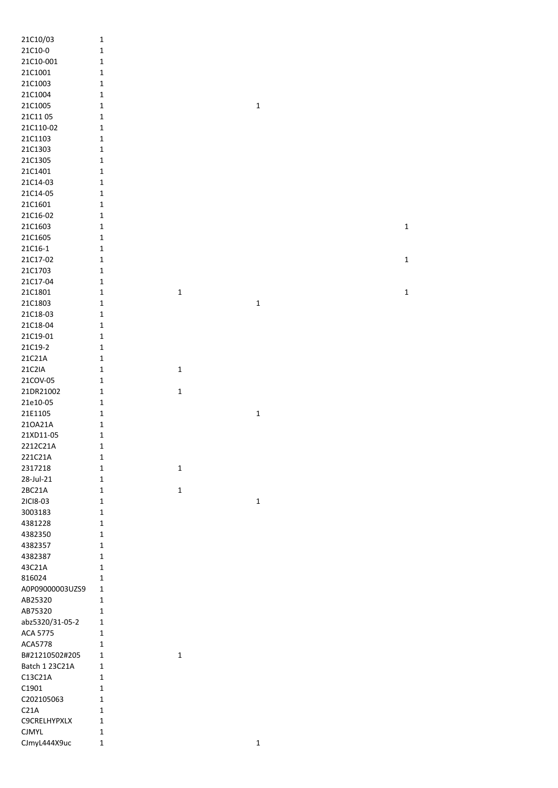| 21C10/03            | $\mathbf 1$  |             |             |              |
|---------------------|--------------|-------------|-------------|--------------|
| 21C10-0             | $\mathbf 1$  |             |             |              |
| 21C10-001           | $\mathbf 1$  |             |             |              |
| 21C1001             | $\mathbf 1$  |             |             |              |
| 21C1003             | $\mathbf 1$  |             |             |              |
| 21C1004             | $\mathbf 1$  |             |             |              |
|                     |              |             |             |              |
| 21C1005             | $\mathbf 1$  |             | $\mathbf 1$ |              |
| 21C1105             | $\mathbf 1$  |             |             |              |
| 21C110-02           | $\mathbf 1$  |             |             |              |
| 21C1103             | $\mathbf 1$  |             |             |              |
| 21C1303             | $\mathbf 1$  |             |             |              |
| 21C1305             | $\mathbf 1$  |             |             |              |
| 21C1401             | $\mathbf 1$  |             |             |              |
| 21C14-03            | $\mathbf 1$  |             |             |              |
| 21C14-05            | $\mathbf 1$  |             |             |              |
| 21C1601             | $\mathbf 1$  |             |             |              |
| 21C16-02            | $\mathbf 1$  |             |             |              |
| 21C1603             | $\mathbf 1$  |             |             | $\mathbf 1$  |
|                     |              |             |             |              |
| 21C1605             | $\mathbf 1$  |             |             |              |
| 21C16-1             | $\mathbf 1$  |             |             |              |
| 21C17-02            | $\mathbf 1$  |             |             | $\mathbf{1}$ |
| 21C1703             | $\mathbf 1$  |             |             |              |
| 21C17-04            | $\mathbf 1$  |             |             |              |
| 21C1801             | $\mathbf 1$  | $\mathbf 1$ |             | $\mathbf 1$  |
| 21C1803             | $\mathbf 1$  |             | $\mathbf 1$ |              |
| 21C18-03            | $\mathbf 1$  |             |             |              |
| 21C18-04            | $\mathbf 1$  |             |             |              |
| 21C19-01            | $\mathbf 1$  |             |             |              |
| 21C19-2             | $\mathbf 1$  |             |             |              |
| 21C21A              | $\mathbf 1$  |             |             |              |
|                     |              |             |             |              |
| 21C2IA              | $\mathbf 1$  | $\mathbf 1$ |             |              |
| 21COV-05            | $\mathbf 1$  |             |             |              |
| 21DR21002           | $\mathbf 1$  | $\mathbf 1$ |             |              |
| 21e10-05            | $\mathbf 1$  |             |             |              |
| 21E1105             | $\mathbf 1$  |             | $\mathbf 1$ |              |
| 210A21A             | $\mathbf 1$  |             |             |              |
| 21XD11-05           | $\mathbf 1$  |             |             |              |
| 2212C21A            | $\mathbf 1$  |             |             |              |
| 221C21A             | 1            |             |             |              |
| 2317218             | $\mathbf 1$  | $\mathbf 1$ |             |              |
| 28-Jul-21           | $\mathbf 1$  |             |             |              |
| 2BC21A              | $\mathbf 1$  | $\mathbf 1$ |             |              |
|                     |              |             |             |              |
| 2ICI8-03            | $\mathbf 1$  |             | $\mathbf 1$ |              |
| 3003183             | $\mathbf 1$  |             |             |              |
| 4381228             | $\mathbf{1}$ |             |             |              |
| 4382350             | $\mathbf{1}$ |             |             |              |
| 4382357             | $\mathbf{1}$ |             |             |              |
| 4382387             | $\mathbf 1$  |             |             |              |
| 43C21A              | $\mathbf 1$  |             |             |              |
| 816024              | $\mathbf 1$  |             |             |              |
| A0P09000003UZS9     | $\mathbf{1}$ |             |             |              |
| AB25320             | $\mathbf{1}$ |             |             |              |
| AB75320             | $\mathbf 1$  |             |             |              |
| abz5320/31-05-2     | $\mathbf 1$  |             |             |              |
| ACA 5775            |              |             |             |              |
|                     | 1            |             |             |              |
| ACA5778             | $\mathbf 1$  |             |             |              |
| B#21210502#205      | $\mathbf 1$  | $\mathbf 1$ |             |              |
| Batch 1 23C21A      | $\mathbf 1$  |             |             |              |
| C13C21A             | $\mathbf 1$  |             |             |              |
| C1901               | $\mathbf 1$  |             |             |              |
| C202105063          | $\mathbf 1$  |             |             |              |
| C21A                | 1            |             |             |              |
| <b>C9CRELHYPXLX</b> | $\mathbf 1$  |             |             |              |
| <b>CJMYL</b>        | $\mathbf 1$  |             |             |              |
| CJmyL444X9uc        | $\mathbf 1$  |             | $\mathbf 1$ |              |
|                     |              |             |             |              |